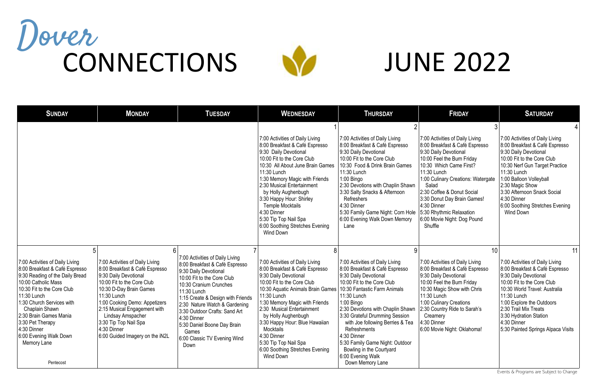| <b>SUNDAY</b>                                                                                                                                                                                                                                                                                                                                   | <b>MONDAY</b>                                                                                                                                                                                                                                                                                                                       | <b>TUESDAY</b>                                                                                                                                                                                                                                                                                                                                                                              | <b>WEDNESDAY</b>                                                                                                                                                                                                                                                                                                                                                                                                                          | <b>THURSDAY</b>                                                                                                                                                                                                                                                                                                                                                                                           | <b>FRIDAY</b>                                                                                                                                                                                                                                                                                                                                                       | <b>SATURDAY</b>                                                                                                                                                                                                                                                                                                              |
|-------------------------------------------------------------------------------------------------------------------------------------------------------------------------------------------------------------------------------------------------------------------------------------------------------------------------------------------------|-------------------------------------------------------------------------------------------------------------------------------------------------------------------------------------------------------------------------------------------------------------------------------------------------------------------------------------|---------------------------------------------------------------------------------------------------------------------------------------------------------------------------------------------------------------------------------------------------------------------------------------------------------------------------------------------------------------------------------------------|-------------------------------------------------------------------------------------------------------------------------------------------------------------------------------------------------------------------------------------------------------------------------------------------------------------------------------------------------------------------------------------------------------------------------------------------|-----------------------------------------------------------------------------------------------------------------------------------------------------------------------------------------------------------------------------------------------------------------------------------------------------------------------------------------------------------------------------------------------------------|---------------------------------------------------------------------------------------------------------------------------------------------------------------------------------------------------------------------------------------------------------------------------------------------------------------------------------------------------------------------|------------------------------------------------------------------------------------------------------------------------------------------------------------------------------------------------------------------------------------------------------------------------------------------------------------------------------|
|                                                                                                                                                                                                                                                                                                                                                 |                                                                                                                                                                                                                                                                                                                                     |                                                                                                                                                                                                                                                                                                                                                                                             | 7:00 Activities of Daily Living<br>8:00 Breakfast & Café Espresso<br>9:30 Daily Devotional<br>10:00 Fit to the Core Club<br>10:30 All About June Brain Games<br>11:30 Lunch<br>1:30 Memory Magic with Friends<br>2:30 Musical Entertainment<br>by Holly Aughenbugh<br>3:30 Happy Hour: Shirley<br><b>Temple Mocktails</b><br>4:30 Dinner<br>5:30 Tip Top Nail Spa<br>6:00 Soothing Stretches Evening<br><b>Wind Down</b>                  | 7:00 Activities of Daily Living<br>8:00 Breakfast & Café Espresso<br>9:30 Daily Devotional<br>10:00 Fit to the Core Club<br>10:30 Food & Drink Brain Games<br>11:30 Lunch<br>1:00 Bingo<br>2:30 Devotions with Chaplin Shawn<br>3:30 Salty Snacks & Afternoon<br>Refreshers<br>4:30 Dinner<br>5:30 Family Game Night: Corn Hole<br>6:00 Evening Walk Down Memory<br>Lane                                  | 7:00 Activities of Daily Living<br>8:00 Breakfast & Café Espresso<br>9:30 Daily Devotional<br>10:00 Feel the Burn Friday<br>10:30 Which Came First?<br>11:30 Lunch<br>1:00 Culinary Creations: Watergate<br>Salad<br>2:30 Coffee & Donut Social<br>3:30 Donut Day Brain Games!<br>4:30 Dinner<br>5:30 Rhythmic Relaxation<br>6:00 Movie Night: Dog Pound<br>Shuffle | 7:00 Activities of Daily Living<br>8:00 Breakfast & Café Espresso<br>9:30 Daily Devotional<br>10:00 Fit to the Core Club<br>10:30 Nerf Gun Target Practice<br>11:30 Lunch<br>1:00 Balloon Volleyball<br>2:30 Magic Show<br>3:30 Afternoon Snack Social<br>4:30 Dinner<br>6:00 Soothing Stretches Evening<br><b>Wind Down</b> |
| 5<br>7:00 Activities of Daily Living<br>8:00 Breakfast & Café Espresso<br>9:30 Reading of the Daily Bread<br>10:00 Catholic Mass<br>10:30 Fit to the Core Club<br>11:30 Lunch<br>1:30 Church Services with<br>Chaplain Shawn<br>2:30 Brain Games Mania<br>3:30 Pet Therapy<br>4:30 Dinner<br>6:00 Evening Walk Down<br>Memory Lane<br>Pentecost | 7:00 Activities of Daily Living<br>8:00 Breakfast & Café Espresso<br>9:30 Daily Devotional<br>10:00 Fit to the Core Club<br>10:30 D-Day Brain Games<br>11:30 Lunch<br>1:00 Cooking Demo: Appetizers<br>2:15 Musical Engagement with<br>Lindsay Amspacher<br>3:30 Tip Top Nail Spa<br>4:30 Dinner<br>6:00 Guided Imagery on the iN2L | $6 \overline{6}$<br>7:00 Activities of Daily Living<br>8:00 Breakfast & Café Espresso<br>9:30 Daily Devotional<br>10:00 Fit to the Core Club<br>10:30 Cranium Crunches<br>11:30 Lunch<br>1:15 Create & Design with Friends<br>2:30 Nature Watch & Gardening<br>3:30 Outdoor Crafts: Sand Art<br>4:30 Dinner<br>5:30 Daniel Boone Day Brain<br>Games<br>6:00 Classic TV Evening Wind<br>Down | 7:00 Activities of Daily Living<br>8:00 Breakfast & Café Espresso<br>9:30 Daily Devotional<br>10:00 Fit to the Core Club<br>10:30 Aquatic Animals Brain Games   10:30 Fantastic Farm Animals<br>11:30 Lunch<br>1:30 Memory Magic with Friends<br>2:30 Musical Entertainment<br>by Holly Aughenbugh<br>3:30 Happy Hour: Blue Hawaiian<br>Mocktails<br>4:30 Dinner<br>5:30 Tip Top Nail Spa<br>6:00 Soothing Stretches Evening<br>Wind Down | 7:00 Activities of Daily Living<br>8:00 Breakfast & Café Espresso<br>9:30 Daily Devotional<br>10:00 Fit to the Core Club<br>11:30 Lunch<br>$1:00$ Bingo<br>2:30 Devotions with Chaplin Shawn<br>3:30 Grateful Drumming Session<br>with Joe following Berries & Tea<br>Refreshments<br>4:30 Dinner<br>5:30 Family Game Night: Outdoor<br>Bowling in the Courtyard<br>6:00 Evening Walk<br>Down Memory Lane | 10<br>7:00 Activities of Daily Living<br>8:00 Breakfast & Café Espresso<br>9:30 Daily Devotional<br>10:00 Feel the Burn Friday<br>10:30 Magic Show with Chris<br>11:30 Lunch<br>1:00 Culinary Creations<br>2:30 Country Ride to Sarah's<br>Creamery<br>$ 4:30$ Dinner<br>6:00 Movie Night: Oklahoma!                                                                | 11<br>7:00 Activities of Daily Living<br>8:00 Breakfast & Café Espresso<br>9:30 Daily Devotional<br>10:00 Fit to the Core Club<br>10:30 World Travel: Australia<br>11:30 Lunch<br>1:00 Explore the Outdoors<br>2:30 Trail Mix Treats<br>3:30 Hydration Station<br>4:30 Dinner<br>5:30 Painted Springs Alpaca Visits          |

## JUNE 2022